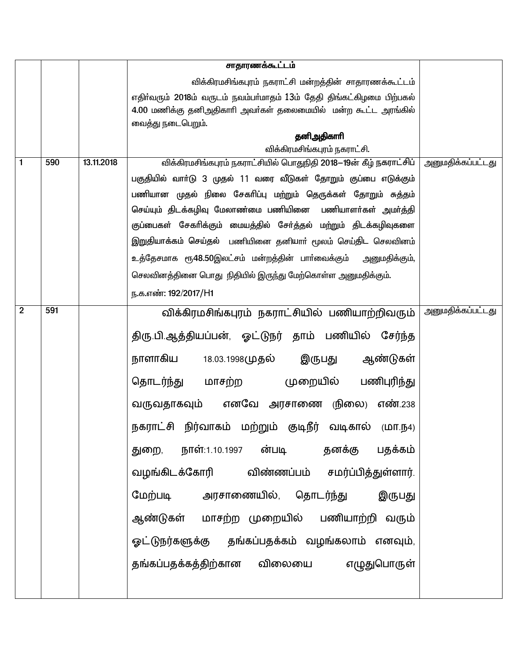|                |     |            | சாதாரணக்கூட்டம்                                                       |                          |
|----------------|-----|------------|-----------------------------------------------------------------------|--------------------------|
|                |     |            | விக்கிரமசிங்கபுரம் நகராட்சி மன்றத்தின் சாதாரணக்கூட்டம்                |                          |
|                |     |            | எதிர்வரும் 2018ம் வருடம் நவம்பர்மாதம் 13ம் தேதி திங்கட்கிழமை பிற்பகல் |                          |
|                |     |            | 4.00 மணிக்கு தனிஅதிகாரி அவா்கள் தலைமையில் மன்ற கூட்ட அரங்கில்         |                          |
|                |     |            | வைத்து நடைபெறும்.                                                     |                          |
|                |     |            | தனிஅதிகாரி<br>விக்கிரமசிங்கபுரம் நகராட்சி.                            |                          |
| $\mathbf{1}$   | 590 | 13.11.2018 | விக்கிரமசிங்கபுரம் நகராட்சியில் பொதுநிதி 2018–19ன் கீழ் நகராட்சிப்    | <u>அனுமதிக்கப்பட்டது</u> |
|                |     |            | பகுதியில் வாா்டு 3 முதல் 11 வரை வீடுகள் தோறும் குப்பை எடுக்கும்       |                          |
|                |     |            | பணியான முதல் நிலை சேகரிப்பு மற்றும் தெருக்கள் தோறும் சுத்தம்          |                          |
|                |     |            | செய்யும் திடக்கழிவு மேலாண்மை பணியினை பணியாளர்கள் அமர்த்தி             |                          |
|                |     |            | குப்பைகள் சேகரிக்கும் மையத்தில் சேர்த்தல் மற்றும் திடக்கழிவுகளை       |                          |
|                |     |            | இறுதியாக்கம் செய்தல் பணியினை தனியாா் மூலம் செய்திட செலவினம்           |                          |
|                |     |            |                                                                       |                          |
|                |     |            | உத்தேசமாக ரூ48.50இலட்சம் மன்றத்தின் பாா்வைக்கும் அனுமதிக்கும்,        |                          |
|                |     |            | செலவினத்தினை பொது நிதியில் இருந்து மேற்கொள்ள அனுமதிக்கும்.            |                          |
|                |     |            | ந.க.எண்: 192/2017/H1                                                  |                          |
| $\overline{2}$ | 591 |            | விக்கிரமசிங்கபுரம் நகராட்சியில் பணியாற்றிவரும்                        | <u>அனுமதிக்கப்பட்டது</u> |
|                |     |            | திரு.பி.ஆத்தியப்பன், ஓட்டுநர் தாம் பணியில் சேர்ந்த                    |                          |
|                |     |            |                                                                       |                          |
|                |     |            | நாளாகிய<br>ஆண்டுகள்<br>இருபது<br>18.03.1998முதல்                      |                          |
|                |     |            | மாசற்ற முறையில்<br>பணிபுரிந்து<br>தொடர்ந்து                           |                          |
|                |     |            | வருவதாகவும் எனவே அரசாணை (நிலை)<br>எண்.238                             |                          |
|                |     |            | நகராட்சி நிர்வாகம் மற்றும் குடிநீர் வடிகால் (மா.ந4)                   |                          |
|                |     |            | துறை, நாள்:1.10.1997 ன்படி   தனக்கு<br>பதக்கம்                        |                          |
|                |     |            | வழங்கிடக்கோரி விண்ணப்பம் சமர்ப்பித்துள்ளார்.                          |                          |
|                |     |            | மேற்படி அரசாணையில், தொடர்ந்து<br>இருபது                               |                          |
|                |     |            | ஆண்டுகள் மாசற்ற முறையில் பணியாற்றி வரும்                              |                          |
|                |     |            | ஓட்டுநர்களுக்கு தங்கப்பதக்கம் வழங்கலாம் எனவும்,                       |                          |
|                |     |            | தங்கப்பதக்கத்திற்கான விலையை எழுதுபொருள்                               |                          |
|                |     |            |                                                                       |                          |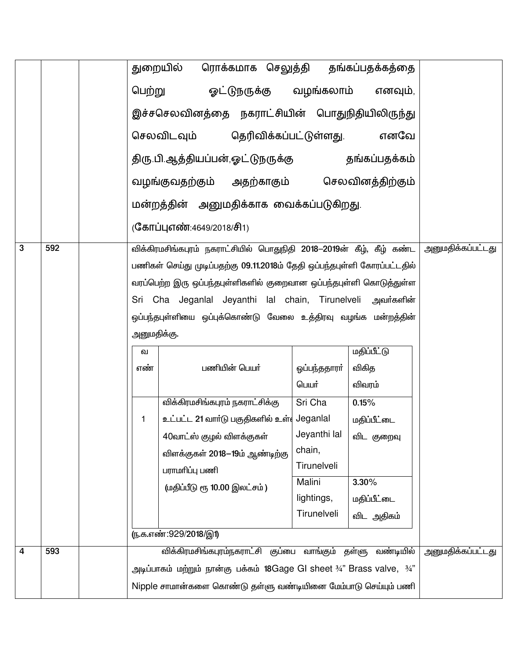|   |     |                                                               | ரொக்கமாக செலுத்தி தங்கப்பதக்கத்தை<br>துறையில்                                                 |                       |                    |                          |
|---|-----|---------------------------------------------------------------|-----------------------------------------------------------------------------------------------|-----------------------|--------------------|--------------------------|
|   |     |                                                               | பெற்று ஓட்டுநருக்கு வழங்கலாம் எனவும்,                                                         |                       |                    |                          |
|   |     |                                                               | இச்சசெலவினத்தை நகராட்சியின் பொதுநிதியிலிருந்து                                                |                       |                    |                          |
|   |     |                                                               | செலவிடவும் தெரிவிக்கப்பட்டுள்ளது.                                                             |                       | எனவே               |                          |
|   |     |                                                               |                                                                                               |                       |                    |                          |
|   |     |                                                               | வழங்குவதற்கும் அதற்காகும் செலவினத்திற்கும்                                                    |                       |                    |                          |
|   |     |                                                               | மன்றத்தின் அனுமதிக்காக வைக்கப்படுகிறது.                                                       |                       |                    |                          |
|   |     |                                                               | (கோப்புஎண்:4649/2018/சி1)                                                                     |                       |                    |                          |
| 3 | 592 |                                                               | விக்கிரமசிங்கபுரம் நகராட்சியில் பொதுநிதி 2018—2019ன் கீழ், கீழ் கண்ட                          |                       |                    | <u>அனுமதிக்கப்பட்டது</u> |
|   |     |                                                               | பணிகள் செய்து முடிப்பதற்கு 09.11.2018ம் தேதி ஒப்பந்தபுள்ளி கோரப்பட்டதில்                      |                       |                    |                          |
|   |     |                                                               | வரப்பெற்ற இரு ஒப்பந்தபுள்ளிகளில் குறைவான ஒப்பந்தபுள்ளி கொடுத்துள்ள                            |                       |                    |                          |
|   |     |                                                               | Sri Cha Jeganlal Jeyanthi lal chain, Tirunelveli அவர்களின்                                    |                       |                    |                          |
|   |     |                                                               | ஒப்பந்தபுள்ளியை ஒப்புக்கொண்டு வேலை உத்திரவு வழங்க மன்றத்தின்                                  |                       |                    |                          |
|   |     | அனுமதிக்கு.                                                   |                                                                                               |                       |                    |                          |
|   |     | வ                                                             |                                                                                               |                       |                    |                          |
|   |     | எண்                                                           | பணியின் பெயர்                                                                                 | ஒப்பந்ததாரா்          | விகித              |                          |
|   |     |                                                               |                                                                                               | பெயர்                 | விவரம்             |                          |
|   |     |                                                               | விக்கிரமசிங்கபுரம் நகராட்சிக்கு                                                               |                       |                    |                          |
|   |     | 1.                                                            | உட்பட்ட 21 வார்டு பகுதிகளில் உள் Jeganlal                                                     |                       | மதிப்பீட்டை        |                          |
|   |     |                                                               | 40வாட்ஸ் குழல் விளக்குகள்                                                                     | Jeyanthi lal          | விட குறைவு         |                          |
|   |     |                                                               | விளக்குகள் 2018–19ம் ஆண்டிற்கு                                                                | chain,<br>Tirunelveli |                    |                          |
|   |     |                                                               | பராமரிப்பு பணி                                                                                |                       |                    |                          |
|   |     |                                                               | (மதிப்பீடு ரூ 10.00 இலட்சம்)                                                                  |                       |                    |                          |
|   |     |                                                               |                                                                                               | lightings,            | மதிப்பீட்டை        |                          |
|   |     |                                                               |                                                                                               | Tirunelveli           | விட அதிகம்         |                          |
|   |     |                                                               | <u>(ந</u> .க.எண்:929/2018/இ1)                                                                 |                       |                    |                          |
| 4 | 593 |                                                               | விக்கிரமசிங்கபுரம்நகராட்சி குப்பை வாங்கும்                                                    |                       | வண்டியில்<br>தள்ளு | <u>அனுமதிக்கப்பட்டது</u> |
|   |     |                                                               | அடிப்பாகம் மற்றும் நான்கு பக்கம் 18Gage GI sheet $\frac{3}{4}$ " Brass valve, $\frac{3}{4}$ " |                       |                    |                          |
|   |     | Nipple சாமான்களை கொண்டு தள்ளு வண்டியினை மேம்பாடு செய்யும் பணி |                                                                                               |                       |                    |                          |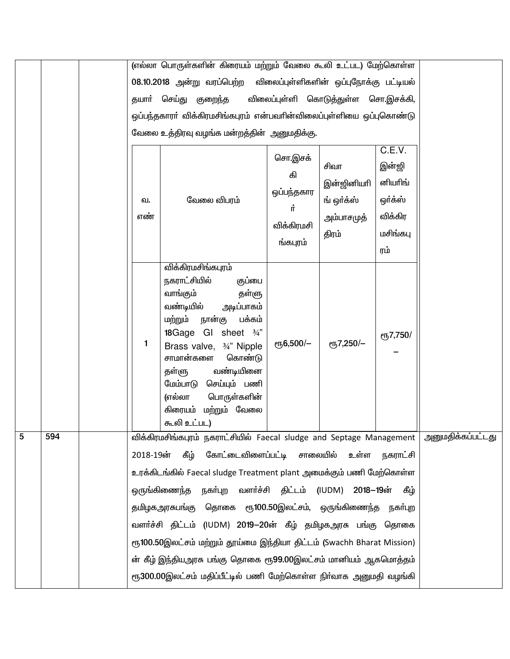|   |     |       | (எல்லா பொருள்களின் கிரையம் மற்றும் வேலை கூலி உட்பட) மேற்கொள்ள                                                                                                                                                                                                                                                                                                                                                                                                                                                                                                         |                                                             |                                                         |                                                                     |                          |
|---|-----|-------|-----------------------------------------------------------------------------------------------------------------------------------------------------------------------------------------------------------------------------------------------------------------------------------------------------------------------------------------------------------------------------------------------------------------------------------------------------------------------------------------------------------------------------------------------------------------------|-------------------------------------------------------------|---------------------------------------------------------|---------------------------------------------------------------------|--------------------------|
|   |     |       | 08.10.2018 அன்று வரப்பெற்ற விலைப்புள்ளிகளின் ஒப்புநோக்கு பட்டியல்                                                                                                                                                                                                                                                                                                                                                                                                                                                                                                     |                                                             |                                                         |                                                                     |                          |
|   |     | தயார் | செய்து குறைந்த<br>விலைப்புள்ளி கொடுத்துள்ள சொ.இசக்கி,                                                                                                                                                                                                                                                                                                                                                                                                                                                                                                                 |                                                             |                                                         |                                                                     |                          |
|   |     |       | ஒப்பந்தகாரா் விக்கிரமசிங்கபுரம் என்பவாின்விலைப்புள்ளியை ஒப்புகொண்டு                                                                                                                                                                                                                                                                                                                                                                                                                                                                                                   |                                                             |                                                         |                                                                     |                          |
|   |     |       | வேலை உத்திரவு வழங்க மன்றத்தின் அனுமதிக்கு.                                                                                                                                                                                                                                                                                                                                                                                                                                                                                                                            |                                                             |                                                         |                                                                     |                          |
|   |     |       | வேலை விபரம்<br>வ.<br>எண்                                                                                                                                                                                                                                                                                                                                                                                                                                                                                                                                              | சொ.இசக்<br>கி<br>ஒப்பந்தகார<br>Ļ.<br>விக்கிரமசி<br>ங்கபுரம் | சிவா<br>இன்ஜினியரி<br>ங் ஒர்க்ஸ்<br>அம்பாசமுத்<br>திரம் | C.E.V.<br>இன்ஜி<br>னியரிங்<br>ஒர்க்ஸ்<br>விக்கிர<br>மசிங்கபு<br>ரம் |                          |
|   |     |       | விக்கிரமசிங்கபுரம்<br>நகராட்சியில்<br>குப்பை<br>வாங்கும்<br>தள்ளு<br>வண்டியில்<br>அடிப்பாகம்<br>பக்கம்<br>நான்கு<br>மற்றும்<br>18Gage GI sheet 3/4"<br>1<br>Brass valve, 3/4" Nipple<br>சாமான்களை<br>கொண்டு<br>வண்டியினை<br>தள்ளு<br>செய்யும் பணி<br>மேம்பாடு<br>(எல்லா<br>பொருள்களின்<br>கிரையம் மற்றும் வேலை<br>கூலி உட்பட)                                                                                                                                                                                                                                         | еҧ6,500/-                                                   | eҧ7,250/-                                               | <b>е</b> ҧ7,750/                                                    |                          |
| 5 | 594 |       | விக்கிரமசிங்கபுரம் நகராட்சியில் Faecal sludge and Septage Management  <br>கோட்டைவிளைப்பட்டி சாலையில் உள்ள<br>2018-19ன்<br>கீழ்<br>உரக்கிடங்கில் Faecal sludge Treatment plant அமைக்கும் பணி மேற்கொள்ள<br>நகா்புற<br>ஒருங்கிணைந்த<br>தமிழகஅரசுபங்கு தொகை ரூ100.50இலட்சம், ஒருங்கிணைந்த<br>வளர்ச்சி திட்டம் (IUDM) 2019–20ன் கீழ் தமிழகஅரசு பங்கு தொகை<br>ரூ100.50இலட்சம் மற்றும் தூய்மை இந்தியா திட்டம் (Swachh Bharat Mission)<br>ன் கீழ் இந்தியஅரசு பங்கு தொகை ரூ99.00இலட்சம் மானியம் ஆகமொத்தம்<br>ரூ300.00இலட்சம் மதிப்பீட்டில் பணி மேற்கொள்ள நிா்வாக அனுமதி வழங்கி | வளர்ச்சி திட்டம் (IUDM)                                     | 2018–19ன்                                               | நகராட்சி<br>கீழ்<br>நகர்புற                                         | <u>அனுமதிக்கப்பட்டது</u> |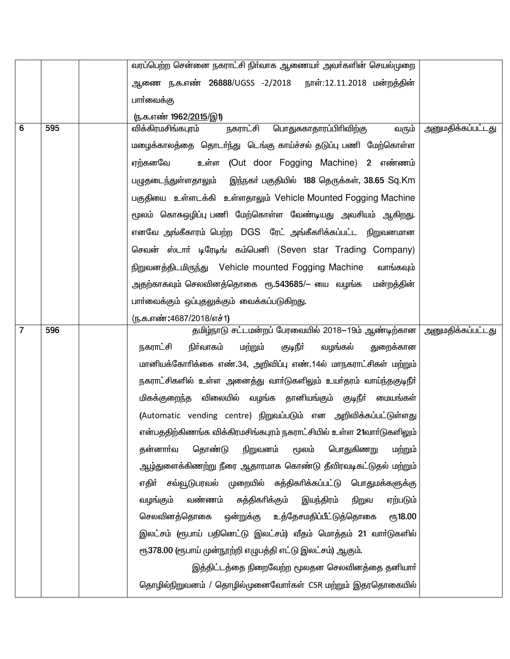|                |     | வரப்பெற்ற சென்னை நகராட்சி நிர்வாக ஆணையர் அவர்களின் செயல்முறை            |                          |
|----------------|-----|-------------------------------------------------------------------------|--------------------------|
|                |     | ஆணை ந.க.எண் <b>26888/UGSS -2/2018 நாள்:12.11.2018 மன்றத்தின்</b>        |                          |
|                |     | பார்வைக்கு                                                              |                          |
|                |     | (ந.க.எண் 1962/2015/இ1)                                                  |                          |
| 6              | 595 | நகராட்சி<br>விக்கிரமசிங்கபுரம்<br>பொதுசுகாதாரப்பிரிவிற்கு<br>வரும்      | அனுமதிக்கப்பட்டது        |
|                |     | மழைக்காலத்தை தொடர்ந்து டெங்கு காய்ச்சல் தடுப்பு பணி மேற்கொள்ள           |                          |
|                |     | உள்ள (Out door Fogging Machine) 2 எண்ணம்<br>ஏற்கனவே                     |                          |
|                |     | பழுதடைந்துள்ளதாலும் இந்நகர் பகுதியில் 188 தெருக்கள், 38.65 Sq.Km        |                          |
|                |     | பகுதியை உள்ளடக்கி உள்ளதாலும் Vehicle Mounted Fogging Machine            |                          |
|                |     | மூலம் கொசுஒழிப்பு பணி மேற்கொள்ள வேண்டியது அவசியம் ஆகிறது.               |                          |
|                |     | எனவே அங்கீகாரம் பெற்ற DGS ரேட் அங்கீகாிக்கப்பட்ட நிறுவனமான              |                          |
|                |     | செவன் ஸ்டார் டிரேடிங் கம்பெனி (Seven star Trading Company)              |                          |
|                |     | நிறுவனத்திடமிருந்து Vehicle mounted Fogging Machine<br>வாங்கவும்        |                          |
|                |     | அதற்காகவும் செலவினத்தொகை  ரூ.543685/— யை  வழங்க   மன்றத்தின்            |                          |
|                |     | பாா்வைக்கும் ஒப்புதலுக்கும் வைக்கப்படுகிறது.                            |                          |
|                |     | (ந.க.எண்:4687/2018/எச்1)                                                |                          |
| $\overline{7}$ | 596 | தமிழ்நாடு சட்டமன்றப் பேரவையில் 2018-19ம் ஆண்டிற்கான                     | <u>அனுமதிக்கப்பட்டது</u> |
|                |     | மற்றும்<br>குடிநீா்<br>நிா்வாகம்<br>வழங்கல்<br>நகராட்சி<br>துறைக்கான    |                          |
|                |     | மானியக்கோரிக்கை எண்.34, அறிவிப்பு எண்.14ல் மாநகராட்சிகள் மற்றும்        |                          |
|                |     | நகராட்சிகளில் உள்ள அனைத்து வாா்டுகளிலும் உயா்தரம் வாய்ந்தகுடிநீா்       |                          |
|                |     | மிகக்குறைந்த விலையில் வழங்க தானியங்கும் குடிநீா் மையங்கள்               |                          |
|                |     | (Automatic vending centre) நிறுவப்படும் என அறிவிக்கப்பட்டுள்ளது         |                          |
|                |     | என்பததிற்கிணங்க விக்கிரமசிங்கபுரம் நகராட்சியில் உள்ள 21வாா்டுகளிலும்    |                          |
|                |     | தொண்டு<br>பொதுகிணறு<br>தன்னாா்வ<br>நிறுவனம்<br>மூலம்<br>மற்றும்         |                          |
|                |     | ஆழ்துளைக்கிணற்று நீரை ஆதாரமாக கொண்டு தீவிரவடிகட்டுதல் மற்றும்           |                          |
|                |     | எதிா் சவ்வூடுபரவல் முறையில் சுத்திகாிக்கப்பட்டு பொதுமக்களுக்கு          |                          |
|                |     | வண்ணம்<br>சுத்திகரிக்கும்<br>வழங்கும்<br>இயந்திரம்<br>ஏற்படும்<br>நிறுவ |                          |
|                |     | செலவினத்தொகை<br>ஒன்றுக்கு<br>உத்தேசமதிப்பீட்டுத்தொகை<br><b>е</b> ђ18.00 |                          |
|                |     | இலட்சம் (ரூபாய் பதினெட்டு இலட்சம்) வீதம் மொத்தம் 21 வாா்டுகளில்         |                          |
|                |     | ரூ378.00 (ரூபாய் முன்நூற்றி எழுபத்தி எட்டு இலட்சம்) ஆகும்.              |                          |
|                |     | இத்திட்டத்தை நிறைவேற்ற மூலதன செலவினத்தை தனியார்                         |                          |
|                |     | தொழில்நிறுவனம் / தொழில்முனைவோா்கள் CSR மற்றும் இதரதொகையில்              |                          |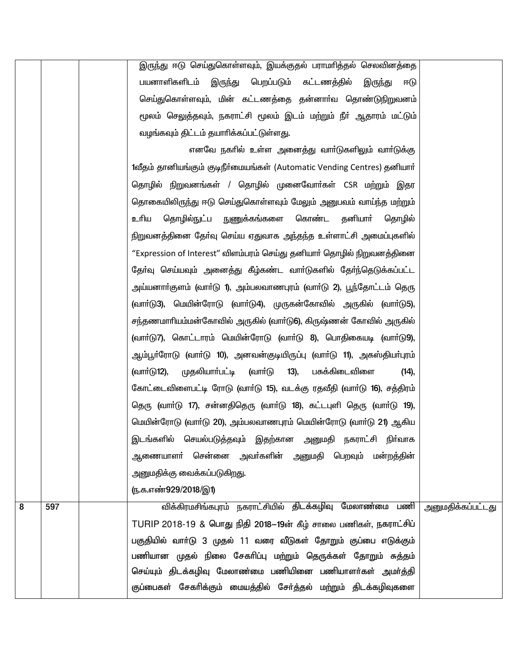|   |     | இருந்து ஈடு செய்துகொள்ளவும், இயக்குதல் பராமாித்தல் செலவினத்தை                    |                   |
|---|-----|----------------------------------------------------------------------------------|-------------------|
|   |     | பயனாளிகளிடம்<br>பெறப்படும் கட்டணத்தில்<br>இருந்து<br>இருந்து<br>ஈடு              |                   |
|   |     | செய்துகொள்ளவும், மின் கட்டணத்தை தன்னாா்வ தொண்டுநிறுவனம்                          |                   |
|   |     | மூலம் செலுத்தவும், நகராட்சி மூலம் இடம் மற்றும் நீா் ஆதாரம் மட்டும்               |                   |
|   |     | வழங்கவும் திட்டம் தயாரிக்கப்பட்டுள்ளது.                                          |                   |
|   |     | எனவே நகரில் உள்ள அனைத்து வாா்டுகளிலும் வாா்டுக்கு                                |                   |
|   |     | 1வீதம் தானியங்கும் குடிநீர்மையங்கள் (Automatic Vending Centres) தனியார்          |                   |
|   |     | தொழில் நிறுவனங்கள் / தொழில் முனைவோா்கள் CSR மற்றும்<br>இதர                       |                   |
|   |     | தொகையிலிருந்து ஈடு செய்துகொள்ளவும் மேலும் அனுபவம் வாய்ந்த மற்றும்                |                   |
|   |     | நுணுக்கங்களை கொண்ட தனியாா்<br>உரிய<br>தொழில்நுட்ப<br>தொழில்                      |                   |
|   |     | நிறுவனத்தினை தோ்வு செய்ய ஏதுவாக அந்தந்த உள்ளாட்சி அமைப்புகளில்                   |                   |
|   |     | "Expression of Interest" விளம்பரம் செய்து தனியாா் தொழில் நிறுவனத்தினை            |                   |
|   |     | தோ்வு செய்யவும் அனைத்து கீழ்கண்ட வாா்டுகளில் தோ்ந்தெடுக்கப்பட்ட                  |                   |
|   |     | அய்யனாா்குளம் (வாா்டு 1), அம்பலவாணபுரம் (வாா்டு 2), பூந்தோட்டம் தெரு             |                   |
|   |     | (வாா்டு3), மெயின்ரோடு (வாா்டு4), முருகன்கோவில் அருகில் (வாா்டு5),                |                   |
|   |     | சந்தணமாாியம்மன்கோவில் அருகில் (வாா்டு6), கிருஷ்ணன் கோவில் அருகில்                |                   |
|   |     | (வார்டு7), கொட்டாரம் மெயின்ரோடு (வார்டு 8), பொதிகையடி (வார்டு9),                 |                   |
|   |     | ஆம்பூா்ரோடு (வாா்டு 10), அனவன்குடியிருப்பு (வாா்டு 11), அகஸ்தியா்புரம்           |                   |
|   |     | (வார்டு12),<br>முதலியாா்பட்டி<br>$13)$ ,<br>(வாா்டு<br>பசுக்கிடைவிளை<br>$(14)$ , |                   |
|   |     | கோட்டைவிளைபட்டி ரோடு (வாா்டு 15), வடக்கு ரதவீதி (வாா்டு 16), சத்திரம்            |                   |
|   |     | தெரு (வாா்டு 17), சன்னதிதெரு (வாா்டு 18), கட்டபுளி தெரு (வாா்டு 19),             |                   |
|   |     | மெயின்ரோடு (வாா்டு 20), அம்பலவாணபுரம் மெயின்ரோடு (வாா்டு 21) ஆகிய                |                   |
|   |     | இடங்களில் செயல்படுத்தவும் இதற்கான அனுமதி நகராட்சி நிா்வாக                        |                   |
|   |     | ஆணையாளா் சென்னை அவா்களின் அனுமதி பெறவும் மன்றத்தின்                              |                   |
|   |     | அனுமதிக்கு வைக்கப்படுகிறது.                                                      |                   |
|   |     | <u>(ந</u> .க.எண்929/2018/இ1)                                                     |                   |
| 8 | 597 | விக்கிரமசிங்கபுரம் நகராட்சியில் திடக்கழிவு மேலாண்மை பணி                          | அனுமதிக்கப்பட்டது |
|   |     | TURIP 2018-19 & பொது நிதி 2018–19ன் கீழ் சாலை பணிகள், நகராட்சிப்                 |                   |
|   |     | பகுதியில் வாா்டு 3 முதல் 11 வரை வீடுகள் தோறும் குப்பை எடுக்கும்                  |                   |
|   |     | பணியான முதல் நிலை சேகரிப்பு மற்றும் தெருக்கள் தோறும் சுத்தம்                     |                   |
|   |     | செய்யும் திடக்கழிவு மேலாண்மை பணியினை பணியாளர்கள் அமர்த்தி                        |                   |
|   |     | குப்பைகள் சேகரிக்கும் மையத்தில் சேர்த்தல் மற்றும் திடக்கழிவுகளை                  |                   |
|   |     |                                                                                  |                   |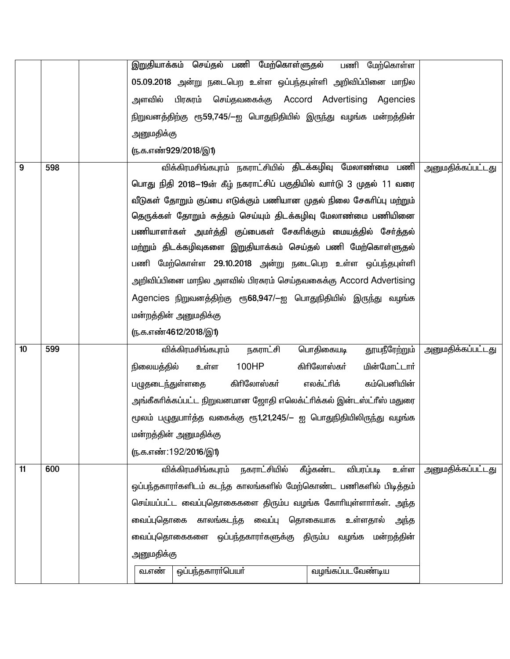|                  |     |                                                                    |                              | இறுதியாக்கம் செய்தல் பணி மேற்கொள்ளுதல்                              |                  | பணி மேற்கொள்ள     |                          |
|------------------|-----|--------------------------------------------------------------------|------------------------------|---------------------------------------------------------------------|------------------|-------------------|--------------------------|
|                  |     | 05.09.2018 அன்று நடைபெற உள்ள ஒப்பந்தபுள்ளி அறிவிப்பினை மாநில       |                              |                                                                     |                  |                   |                          |
|                  |     | அளவில்                                                             |                              |                                                                     |                  |                   |                          |
|                  |     |                                                                    |                              | நிறுவனத்திற்கு ரூ59,745/—ஐ பொதுநிதியில் இருந்து வழங்க மன்றத்தின்    |                  |                   |                          |
|                  |     | அனுமதிக்கு                                                         |                              |                                                                     |                  |                   |                          |
|                  |     |                                                                    | <u>(ந</u> .க.எண்929/2018/இ1) |                                                                     |                  |                   |                          |
| 9                | 598 |                                                                    |                              | விக்கிரமசிங்கபுரம் நகராட்சியில் திடக்கழிவு மேலாண்மை பணி             |                  |                   | அனுமதிக்கப்பட்டது        |
|                  |     |                                                                    |                              | பொது நிதி 2018–19ன் கீழ் நகராட்சிப் பகுதியில் வாா்டு 3 முதல் 11 வரை |                  |                   |                          |
|                  |     |                                                                    |                              | வீடுகள் தோறும் குப்பை எடுக்கும் பணியான முதல் நிலை சேகரிப்பு மற்றும் |                  |                   |                          |
|                  |     |                                                                    |                              | தெருக்கள் தோறும் சுத்தம் செய்யும் திடக்கழிவு மேலாண்மை பணியினை       |                  |                   |                          |
|                  |     |                                                                    |                              | பணியாளர்கள் அமர்த்தி குப்பைகள் சேகரிக்கும் மையத்தில் சேர்த்தல்      |                  |                   |                          |
|                  |     |                                                                    |                              | மற்றும் திடக்கழிவுகளை இறுதியாக்கம் செய்தல் பணி மேற்கொள்ளுதல்        |                  |                   |                          |
|                  |     |                                                                    |                              | பணி மேற்கொள்ள 29.10.2018 அன்று நடைபெற உள்ள ஒப்பந்தபுள்ளி            |                  |                   |                          |
|                  |     |                                                                    |                              | அறிவிப்பினை மாநில அளவில் பிரசுரம் செய்தவகைக்கு Accord Advertising   |                  |                   |                          |
|                  |     |                                                                    |                              | Agencies நிறுவனத்திற்கு ரூ68,947/–ஐ பொதுநிதியில் இருந்து வழங்க      |                  |                   |                          |
|                  |     | மன்றத்தின் அனுமதிக்கு                                              |                              |                                                                     |                  |                   |                          |
|                  |     |                                                                    | ரு.க.எண்4612/2018/இ1)        |                                                                     |                  |                   |                          |
| 10 <sup>10</sup> | 599 |                                                                    | விக்கிரமசிங்கபுரம்           | நகராட்சி                                                            | பொதிகையடி        | தூயநீரேற்றும்     | <u>அனுமதிக்கப்பட்டது</u> |
|                  |     | நிலையத்தில்                                                        | உள்ள                         | 100HP                                                               | கிரிலோஸ்கர்      | மின்மோட்டார்      |                          |
|                  |     | பழுதடைந்துள்ளதை                                                    |                              | கிரிலோஸ்கர்                                                         | எலக்ட்ரிக்       | கம்பெனியின்       |                          |
|                  |     |                                                                    |                              | அங்கீகாிக்கப்பட்ட நிறுவனமான ஜோதி எலெக்ட்ாிக்கல் இன்டஸ்ட்ாீஸ் மதுரை  |                  |                   |                          |
|                  |     | மூலம் பழுதுபாா்த்த வகைக்கு ரூ1,21,245/— ஐ பொதுநிதியிலிருந்து வழங்க |                              |                                                                     |                  |                   |                          |
|                  |     | மன்றத்தின் அனுமதிக்கு                                              |                              |                                                                     |                  |                   |                          |
|                  |     |                                                                    | <u>ரு.க.எண்:192/2016/இ1)</u> |                                                                     |                  |                   |                          |
| 11               | 600 |                                                                    | விக்கிரமசிங்கபுரம்           | நகராட்சியில்                                                        | கீழ்கண்ட         | உள்ள<br>விபரப்படி | <u>அனுமதிக்கப்பட்டது</u> |
|                  |     |                                                                    |                              | ஒப்பந்தகாரா்களிடம் கடந்த காலங்களில் மேற்கொண்ட பணிகளில் பிடித்தம்    |                  |                   |                          |
|                  |     | செய்யப்பட்ட வைப்புதொகைகளை திரும்ப வழங்க கோரியுள்ளார்கள். அந்த      |                              |                                                                     |                  |                   |                          |
|                  |     | காலங்கடந்த வைப்பு தொகையாக<br>வைப்புதொகை<br>உள்ளதால்<br>அந்த        |                              |                                                                     |                  |                   |                          |
|                  |     | வைப்புதொகைகளை ஒப்பந்தகாரா்களுக்கு திரும்ப வழங்க மன்றத்தின்         |                              |                                                                     |                  |                   |                          |
|                  |     | அனுமதிக்கு                                                         |                              |                                                                     |                  |                   |                          |
|                  |     | வ.எண்                                                              | ஒப்பந்தகாரா்பெயா்            |                                                                     | வழங்கப்படவேண்டிய |                   |                          |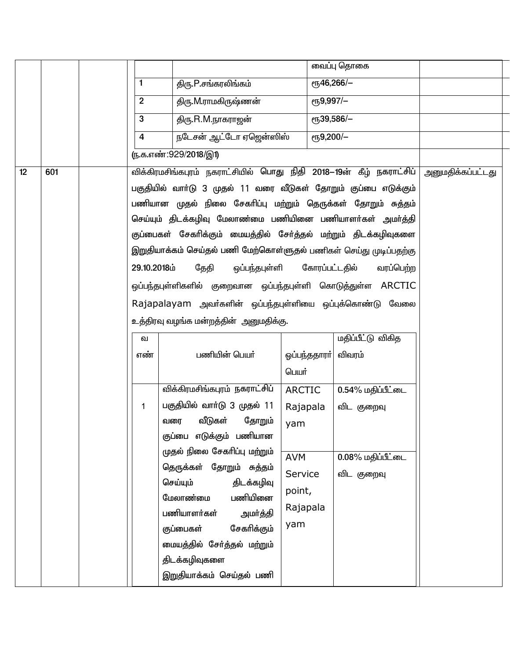|    |     |                |                                                                     |                                       | வைப்பு தொகை              |                   |  |
|----|-----|----------------|---------------------------------------------------------------------|---------------------------------------|--------------------------|-------------------|--|
|    |     | $\mathbf{1}$   | திரு.P.சங்கரலிங்கம்                                                 |                                       | ет <sub>5</sub> 46,266/- |                   |  |
|    |     | $\overline{2}$ | திரு.M.ராமகிருஷ்ணன்                                                 | $e$ <sup>15</sup> <sub>9</sub> ,997/- |                          |                   |  |
|    |     | 3              | திரு.R.M.நாகராஜன்                                                   |                                       | ет <sub>5</sub> 39,586/- |                   |  |
|    |     | 4              | நடேசன் ஆட்டோ ஏஜென்ஸிஸ்                                              | $\overline{e}$ Гђ9,200/-              |                          |                   |  |
|    |     |                | <u>ரு.க.எண்:929/2018/இ1)</u>                                        |                                       |                          |                   |  |
| 12 | 601 |                | விக்கிரமசிங்கபுரம் நகராட்சியில் பொது நிதி 2018—19ன் கீழ் நகராட்சிப் |                                       |                          | அனுமதிக்கப்பட்டது |  |
|    |     |                | பகுதியில் வாா்டு 3 முதல் 11 வரை வீடுகள் தோறும் குப்பை எடுக்கும்     |                                       |                          |                   |  |
|    |     |                | பணியான முதல் நிலை சேகரிப்பு மற்றும் தெருக்கள் தோறும் சுத்தம்        |                                       |                          |                   |  |
|    |     |                | செய்யும் திடக்கழிவு மேலாண்மை பணியினை பணியாளர்கள் அமர்த்தி           |                                       |                          |                   |  |
|    |     |                | குப்பைகள் சேகரிக்கும் மையத்தில் சேர்த்தல் மற்றும் திடக்கழிவுகளை     |                                       |                          |                   |  |
|    |     |                | இறுதியாக்கம் செய்தல் பணி மேற்கொள்ளுதல் பணிகள் செய்து முடிப்பதற்கு   |                                       |                          |                   |  |
|    |     | 29.10.2018ம்   | தேதி                                                                | ஒப்பந்தபுள்ளி கோரப்பட்டதில்           | வரப்பெற்ற                |                   |  |
|    |     |                | ஒப்பந்தபுள்ளிகளில் குறைவான ஒப்பந்தபுள்ளி கொடுத்துள்ள ARCTIC         |                                       |                          |                   |  |
|    |     |                | Rajapalayam அவர்களின் ஒப்பந்தபுள்ளியை ஒப்புக்கொண்டு வேலை            |                                       |                          |                   |  |
|    |     |                | உத்திரவு வழங்க மன்றத்தின் அனுமதிக்கு.                               |                                       |                          |                   |  |
|    |     | ഖ              |                                                                     |                                       | மதிப்பீட்டு விகித        |                   |  |
|    |     | எண்            | பணியின் பெயர்                                                       | ஒப்பந்ததாரா்                          | விவரம்                   |                   |  |
|    |     |                |                                                                     | பெயர்                                 |                          |                   |  |
|    |     |                | விக்கிரமசிங்கபுரம் நகராட்சிப்                                       | <b>ARCTIC</b>                         | 0.54% மதிப்பீட்டை        |                   |  |
|    |     | 1              | பகுதியில் வார்டு 3 முதல் 11                                         | Rajapala                              | விட குறைவு               |                   |  |
|    |     |                | வீடுகள்<br>தோறும்<br>வரை                                            | yam                                   |                          |                   |  |
|    |     |                | குப்பை எடுக்கும் பணியான                                             |                                       |                          |                   |  |
|    |     |                | முதல் நிலை சேகரிப்பு மற்றும்                                        | <b>AVM</b>                            | 0.08% மதிப்பீட்டை        |                   |  |
|    |     |                | தெருக்கள் தோறும் சுத்தம்                                            | Service                               | விட குறைவு               |                   |  |
|    |     |                | செய்யும்<br>திடக்கழிவு<br>பணியினை<br>மேலாண்மை                       | point,                                |                          |                   |  |
|    |     |                | பணியாளர்கள்<br>அமர்த்தி                                             | Rajapala                              |                          |                   |  |
|    |     |                | சேகரிக்கும்<br>குப்பைகள்                                            | yam                                   |                          |                   |  |
|    |     |                | மையத்தில் சேர்த்தல் மற்றும்                                         |                                       |                          |                   |  |
|    |     |                | திடக்கழிவுகளை                                                       |                                       |                          |                   |  |
|    |     |                | இறுதியாக்கம் செய்தல் பணி                                            |                                       |                          |                   |  |